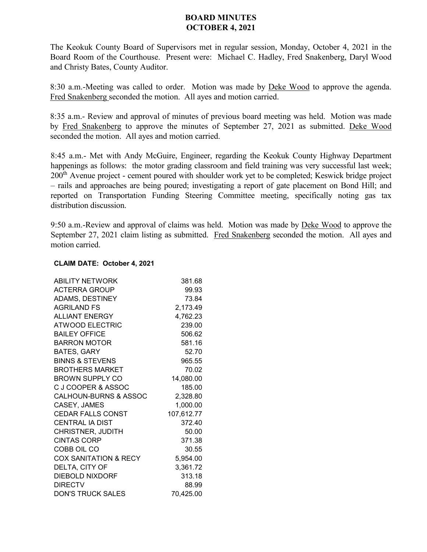## **BOARD MINUTES OCTOBER 4, 2021**

The Keokuk County Board of Supervisors met in regular session, Monday, October 4, 2021 in the Board Room of the Courthouse. Present were: Michael C. Hadley, Fred Snakenberg, Daryl Wood and Christy Bates, County Auditor.

8:30 a.m.-Meeting was called to order. Motion was made by Deke Wood to approve the agenda. Fred Snakenberg seconded the motion. All ayes and motion carried.

8:35 a.m.- Review and approval of minutes of previous board meeting was held. Motion was made by Fred Snakenberg to approve the minutes of September 27, 2021 as submitted. Deke Wood seconded the motion. All ayes and motion carried.

8:45 a.m.- Met with Andy McGuire, Engineer, regarding the Keokuk County Highway Department happenings as follows: the motor grading classroom and field training was very successful last week; 200<sup>th</sup> Avenue project - cement poured with shoulder work yet to be completed; Keswick bridge project – rails and approaches are being poured; investigating a report of gate placement on Bond Hill; and reported on Transportation Funding Steering Committee meeting, specifically noting gas tax distribution discussion.

9:50 a.m.-Review and approval of claims was held. Motion was made by Deke Wood to approve the September 27, 2021 claim listing as submitted. Fred Snakenberg seconded the motion. All ayes and motion carried.

## **CLAIM DATE: October 4, 2021**

| <b>ABILITY NETWORK</b>           | 381.68     |
|----------------------------------|------------|
| <b>ACTERRA GROUP</b>             | 99.93      |
| ADAMS, DESTINEY                  | 73.84      |
| AGRILAND FS                      | 2,173.49   |
| <b>ALLIANT ENERGY</b>            | 4,762.23   |
| <b>ATWOOD ELECTRIC</b>           | 239.00     |
| <b>BAILEY OFFICE</b>             | 506.62     |
| <b>BARRON MOTOR</b>              | 581.16     |
| <b>BATES, GARY</b>               | 52.70      |
| <b>BINNS &amp; STEVENS</b>       | 965.55     |
| <b>BROTHERS MARKET</b>           | 70.02      |
| <b>BROWN SUPPLY CO</b>           | 14,080.00  |
| C J COOPER & ASSOC               | 185.00     |
| <b>CALHOUN-BURNS &amp; ASSOC</b> | 2,328.80   |
| CASEY, JAMES                     | 1,000.00   |
| CEDAR FALLS CONST                | 107,612.77 |
| <b>CENTRAL IA DIST</b>           | 372.40     |
| <b>CHRISTNER, JUDITH</b>         | 50.00      |
| <b>CINTAS CORP</b>               | 371.38     |
| COBB OIL CO                      | 30.55      |
| <b>COX SANITATION &amp; RECY</b> | 5,954.00   |
| DELTA, CITY OF                   | 3,361.72   |
| <b>DIEBOLD NIXDORF</b>           | 313.18     |
| <b>DIRECTV</b>                   | 88.99      |
| <b>DON'S TRUCK SALES</b>         | 70,425.00  |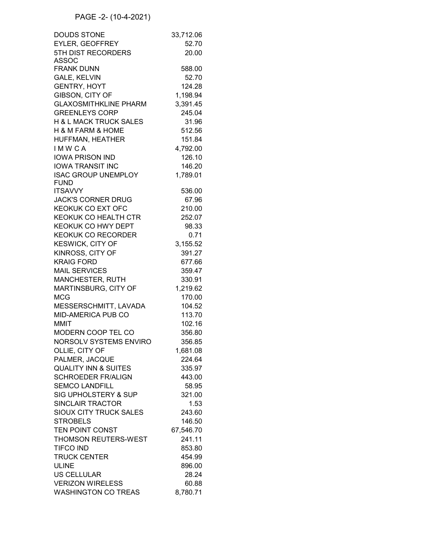## PAGE -2- (10-4-2021)

| <b>DOUDS STONE</b>              | 33,712.06 |
|---------------------------------|-----------|
| <b>EYLER, GEOFFREY</b>          | 52.70     |
| 5TH DIST RECORDERS              | 20.00     |
| <b>ASSOC</b>                    |           |
| <b>FRANK DUNN</b>               | 588.00    |
| <b>GALE, KELVIN</b>             | 52.70     |
| <b>GENTRY, HOYT</b>             | 124.28    |
| GIBSON, CITY OF                 | 1,198.94  |
| <b>GLAXOSMITHKLINE PHARM</b>    | 3,391.45  |
| <b>GREENLEYS CORP</b>           | 245.04    |
| H & L MACK TRUCK SALES          | 31.96     |
| H & M FARM & HOME               | 512.56    |
| HUFFMAN, HEATHER                | 151.84    |
| <b>IMWCA</b>                    | 4,792.00  |
| <b>IOWA PRISON IND</b>          | 126.10    |
|                                 |           |
| <b>IOWA TRANSIT INC</b>         | 146.20    |
| <b>ISAC GROUP UNEMPLOY</b>      | 1,789.01  |
| <b>FUND</b><br><b>ITSAVVY</b>   | 536.00    |
|                                 |           |
| <b>JACK'S CORNER DRUG</b>       | 67.96     |
| <b>KEOKUK CO EXT OFC</b>        | 210.00    |
| KEOKUK CO HEALTH CTR            | 252.07    |
| KEOKUK CO HWY DEPT              | 98.33     |
| <b>KEOKUK CO RECORDER</b>       | 0.71      |
| KESWICK, CITY OF                | 3,155.52  |
| KINROSS, CITY OF                | 391.27    |
| <b>KRAIG FORD</b>               | 677.66    |
| <b>MAIL SERVICES</b>            | 359.47    |
| MANCHESTER, RUTH                | 330.91    |
| MARTINSBURG, CITY OF            | 1,219.62  |
| <b>MCG</b>                      | 170.00    |
| MESSERSCHMITT, LAVADA           | 104.52    |
| <b>MID-AMERICA PUB CO</b>       | 113.70    |
| <b>MMIT</b>                     | 102.16    |
| MODERN COOP TEL CO              | 356.80    |
| <b>NORSOLV SYSTEMS ENVIRO</b>   | 356.85    |
| OLLIE, CITY OF                  | 1,681.08  |
| PALMER, JACQUE                  | 224.64    |
| <b>QUALITY INN &amp; SUITES</b> | 335.97    |
| <b>SCHROEDER FR/ALIGN</b>       | 443.00    |
|                                 |           |
| <b>SEMCO LANDFILL</b>           | 58.95     |
| <b>SIG UPHOLSTERY &amp; SUP</b> | 321.00    |
| <b>SINCLAIR TRACTOR</b>         | 1.53      |
| <b>SIOUX CITY TRUCK SALES</b>   | 243.60    |
| <b>STROBELS</b>                 | 146.50    |
| <b>TEN POINT CONST</b>          | 67,546.70 |
| <b>THOMSON REUTERS-WEST</b>     | 241.11    |
| <b>TIFCO IND</b>                | 853.80    |
| <b>TRUCK CENTER</b>             | 454.99    |
| <b>ULINE</b>                    | 896.00    |
| <b>US CELLULAR</b>              | 28.24     |
| <b>VERIZON WIRELESS</b>         | 60.88     |
| <b>WASHINGTON CO TREAS</b>      | 8,780.71  |
|                                 |           |